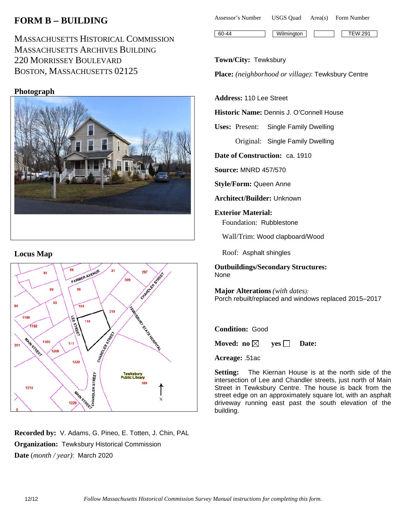# **FORM B** − **BUILDING**

MASSACHUSETTS HISTORICAL COMMISSION MASSACHUSETTS ARCHIVES BUILDING 220 MORRISSEY BOULEVARD BOSTON, MASSACHUSETTS 02125

## **Photograph**



#### **Locus Map**



**Recorded by:** V. Adams, G. Pineo, E. Totten, J. Chin, PAL **Organization:** Tewksbury Historical Commission **Date** (*month / year)*: March 2020

| Assessor's Number | USGS Ouad | Area(s) Form Number |  |
|-------------------|-----------|---------------------|--|
|                   |           |                     |  |

60-44 Wilmington TEW.291

#### **Town/City:** Tewksbury

**Place:** *(neighborhood or village)*: Tewksbury Centre

#### **Address:** 110 Lee Street

**Historic Name:** Dennis J. O'Connell House

**Uses:** Present: Single Family Dwelling

Original: Single Family Dwelling

**Date of Construction:** ca. 1910

**Source:** MNRD 457/570

**Style/Form:** Queen Anne

**Architect/Builder:** Unknown

**Exterior Material:** Foundation: Rubblestone

Wall/Trim: Wood clapboard/Wood

Roof: Asphalt shingles

**Outbuildings/Secondary Structures:** None

**Major Alterations** *(with dates):* Porch rebuilt/replaced and windows replaced 2015–2017

#### **Condition:** Good

**Moved:** no  $\boxtimes$  **yes**  $\Box$  **Date:** 

**Acreage:** .51ac

**Setting:** The Kiernan House is at the north side of the intersection of Lee and Chandler streets, just north of Main Street in Tewksbury Centre. The house is back from the street edge on an approximately square lot, with an asphalt driveway running east past the south elevation of the building.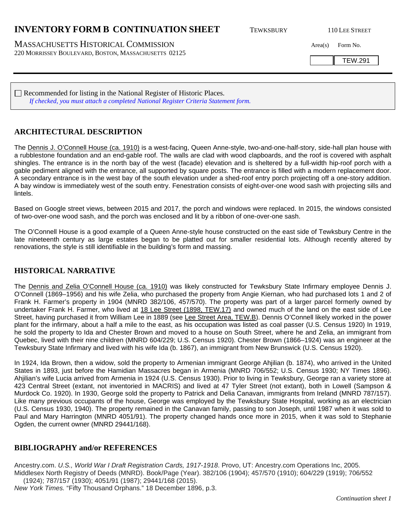## **INVENTORY FORM B CONTINUATION SHEET** TEWKSBURY 110 LEE STREET

MASSACHUSETTS HISTORICAL COMMISSION Area(s) Form No. 220 MORRISSEY BOULEVARD, BOSTON, MASSACHUSETTS 02125

TEW.291

Recommended for listing in the National Register of Historic Places. *If checked, you must attach a completed National Register Criteria Statement form.*

## **ARCHITECTURAL DESCRIPTION**

The Dennis J. O'Connell House (ca. 1910) is a west-facing, Queen Anne-style, two-and-one-half-story, side-hall plan house with a rubblestone foundation and an end-gable roof. The walls are clad with wood clapboards, and the roof is covered with asphalt shingles. The entrance is in the north bay of the west (facade) elevation and is sheltered by a full-width hip-roof porch with a gable pediment aligned with the entrance, all supported by square posts. The entrance is filled with a modern replacement door. A secondary entrance is in the west bay of the south elevation under a shed-roof entry porch projecting off a one-story addition. A bay window is immediately west of the south entry. Fenestration consists of eight-over-one wood sash with projecting sills and lintels.

Based on Google street views, between 2015 and 2017, the porch and windows were replaced. In 2015, the windows consisted of two-over-one wood sash, and the porch was enclosed and lit by a ribbon of one-over-one sash.

The O'Connell House is a good example of a Queen Anne-style house constructed on the east side of Tewksbury Centre in the late nineteenth century as large estates began to be platted out for smaller residential lots. Although recently altered by renovations, the style is still identifiable in the building's form and massing.

## **HISTORICAL NARRATIVE**

The Dennis and Zelia O'Connell House (ca. 1910) was likely constructed for Tewksbury State Infirmary employee Dennis J. O'Connell (1869–1956) and his wife Zelia, who purchased the property from Angie Kiernan, who had purchased lots 1 and 2 of Frank H. Farmer's property in 1904 (MNRD 382/106, 457/570). The property was part of a larger parcel formerly owned by undertaker Frank H. Farmer, who lived at 18 Lee Street (1898, TEW.17) and owned much of the land on the east side of Lee Street, having purchased it from William Lee in 1889 (see Lee Street Area, TEW.B). Dennis O'Connell likely worked in the power plant for the infirmary, about a half a mile to the east, as his occupation was listed as coal passer (U.S. Census 1920) In 1919, he sold the property to Ida and Chester Brown and moved to a house on South Street, where he and Zelia, an immigrant from Quebec, lived with their nine children (MNRD 604/229; U.S. Census 1920). Chester Brown (1866–1924) was an engineer at the Tewksbury State Infirmary and lived with his wife Ida (b. 1867), an immigrant from New Brunswick (U.S. Census 1920).

In 1924, Ida Brown, then a widow, sold the property to Armenian immigrant George Ahjilian (b. 1874), who arrived in the United States in 1893, just before the Hamidian Massacres began in Armenia (MNRD 706/552; U.S. Census 1930; NY Times 1896). Ahjilian's wife Lucia arrived from Armenia in 1924 (U.S. Census 1930). Prior to living in Tewksbury, George ran a variety store at 423 Central Street (extant, not inventoried in MACRIS) and lived at 47 Tyler Street (not extant), both in Lowell (Sampson & Murdock Co. 1920). In 1930, George sold the property to Patrick and Delia Canavan, immigrants from Ireland (MNRD 787/157). Like many previous occupants of the house, George was employed by the Tewksbury State Hospital, working as an electrician (U.S. Census 1930, 1940). The property remained in the Canavan family, passing to son Joseph, until 1987 when it was sold to Paul and Mary Harrington (MNRD 4051/91). The property changed hands once more in 2015, when it was sold to Stephanie Ogden, the current owner (MNRD 29441/168).

## **BIBLIOGRAPHY and/or REFERENCES**

Ancestry.com. *U.S., World War I Draft Registration Cards, 1917-1918*. Provo, UT: Ancestry.com Operations Inc, 2005. Middlesex North Registry of Deeds (MNRD). Book/Page (Year). 382/106 (1904); 457/570 (1910); 604/229 (1919); 706/552 (1924); 787/157 (1930); 4051/91 (1987); 29441/168 (2015).

*New York Times.* "Fifty Thousand Orphans." 18 December 1896, p.3.